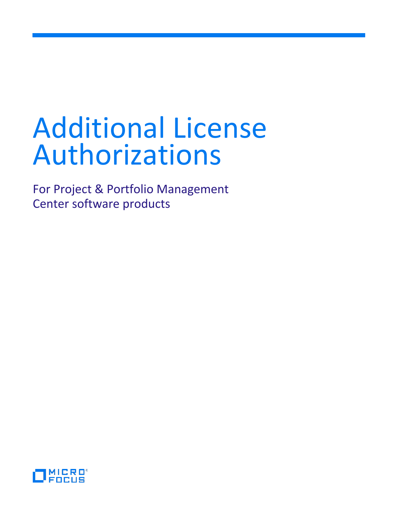# Additional License Authorizations

For Project & Portfolio Management Center software products

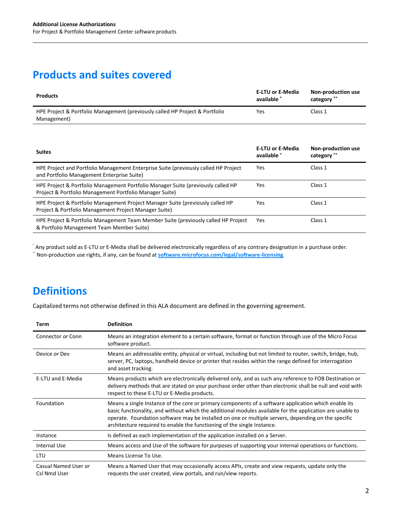## **Products and suites covered**

| <b>Products</b>                                                                             | <b>E-LTU or E-Media</b><br>available * | Non-production use<br>category ** |
|---------------------------------------------------------------------------------------------|----------------------------------------|-----------------------------------|
| HPE Project & Portfolio Management (previously called HP Project & Portfolio<br>Management) | Yes                                    | Class 1                           |

| <b>Suites</b>                                                                                                                               | <b>E-LTU or E-Media</b><br>available * | Non-production use<br>category ** |
|---------------------------------------------------------------------------------------------------------------------------------------------|----------------------------------------|-----------------------------------|
| HPE Project and Portfolio Management Enterprise Suite (previously called HP Project<br>and Portfolio Management Enterprise Suite)           | Yes                                    | Class 1                           |
| HPE Project & Portfolio Management Portfolio Manager Suite (previously called HP<br>Project & Portfolio Management Portfolio Manager Suite) | Yes                                    | Class 1                           |
| HPE Project & Portfolio Management Project Manager Suite (previously called HP<br>Project & Portfolio Management Project Manager Suite)     | Yes                                    | Class 1                           |
| HPE Project & Portfolio Management Team Member Suite (previously called HP Project<br>& Portfolio Management Team Member Suite)             | Yes                                    | Class 1                           |

\* Any product sold as E-LTU or E-Media shall be delivered electronically regardless of any contrary designation in a purchase order.

\*\* Non-production use rights, if any, can be found at **[software.microfocus.com/legal/software-licensing](https://software.microfocus.com/legal/software-licensing)**.

## **Definitions**

Capitalized terms not otherwise defined in this ALA document are defined in the governing agreement.

| Term                                 | <b>Definition</b>                                                                                                                                                                                                                                                                                                                                                                                   |
|--------------------------------------|-----------------------------------------------------------------------------------------------------------------------------------------------------------------------------------------------------------------------------------------------------------------------------------------------------------------------------------------------------------------------------------------------------|
| Connector or Conn                    | Means an integration element to a certain software, format or function through use of the Micro Focus<br>software product.                                                                                                                                                                                                                                                                          |
| Device or Dev                        | Means an addressable entity, physical or virtual, including but not limited to router, switch, bridge, hub,<br>server, PC, laptops, handheld device or printer that resides within the range defined for interrogation<br>and asset tracking.                                                                                                                                                       |
| <b>E-LTU and E-Media</b>             | Means products which are electronically delivered only, and as such any reference to FOB Destination or<br>delivery methods that are stated on your purchase order other than electronic shall be null and void with<br>respect to these E-LTU or E-Media products.                                                                                                                                 |
| Foundation                           | Means a single Instance of the core or primary components of a software application which enable its<br>basic functionality, and without which the additional modules available for the application are unable to<br>operate. Foundation software may be installed on one or multiple servers, depending on the specific<br>architecture required to enable the functioning of the single Instance. |
| Instance                             | Is defined as each implementation of the application installed on a Server.                                                                                                                                                                                                                                                                                                                         |
| Internal Use                         | Means access and Use of the software for purposes of supporting your internal operations or functions.                                                                                                                                                                                                                                                                                              |
| <b>LTU</b>                           | Means License To Use.                                                                                                                                                                                                                                                                                                                                                                               |
| Casual Named User or<br>Csl Nmd User | Means a Named User that may occasionally access APIs, create and view requests, update only the<br>requests the user created, view portals, and run/view reports.                                                                                                                                                                                                                                   |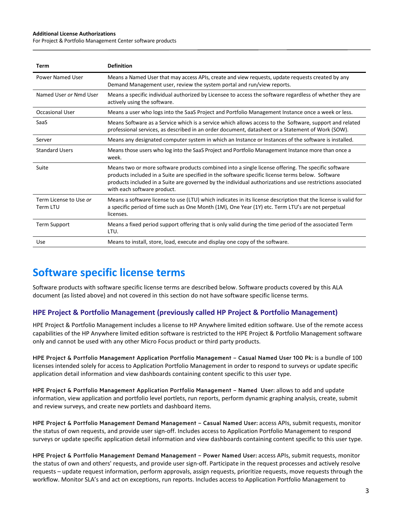#### **Additional License Authorizations**

For Project & Portfolio Management Center software products

| Term                               | <b>Definition</b>                                                                                                                                                                                                                                                                                                                                    |
|------------------------------------|------------------------------------------------------------------------------------------------------------------------------------------------------------------------------------------------------------------------------------------------------------------------------------------------------------------------------------------------------|
| Power Named User                   | Means a Named User that may access APIs, create and view requests, update requests created by any<br>Demand Management user, review the system portal and run/view reports.                                                                                                                                                                          |
| Named User or Nmd User             | Means a specific individual authorized by Licensee to access the software regardless of whether they are<br>actively using the software.                                                                                                                                                                                                             |
| <b>Occasional User</b>             | Means a user who logs into the SaaS Project and Portfolio Management Instance once a week or less.                                                                                                                                                                                                                                                   |
| SaaS                               | Means Software as a Service which is a service which allows access to the Software, support and related<br>professional services, as described in an order document, datasheet or a Statement of Work (SOW).                                                                                                                                         |
| Server                             | Means any designated computer system in which an Instance or Instances of the software is installed.                                                                                                                                                                                                                                                 |
| <b>Standard Users</b>              | Means those users who log into the SaaS Project and Portfolio Management Instance more than once a<br>week.                                                                                                                                                                                                                                          |
| Suite                              | Means two or more software products combined into a single license offering. The specific software<br>products included in a Suite are specified in the software specific license terms below. Software<br>products included in a Suite are governed by the individual authorizations and use restrictions associated<br>with each software product. |
| Term License to Use or<br>Term LTU | Means a software license to use (LTU) which indicates in its license description that the license is valid for<br>a specific period of time such as One Month (1M), One Year (1Y) etc. Term LTU's are not perpetual<br>licenses.                                                                                                                     |
| <b>Term Support</b>                | Means a fixed period support offering that is only valid during the time period of the associated Term<br>LTU.                                                                                                                                                                                                                                       |
| Use                                | Means to install, store, load, execute and display one copy of the software.                                                                                                                                                                                                                                                                         |

## **Software specific license terms**

Software products with software specific license terms are described below. Software products covered by this ALA document (as listed above) and not covered in this section do not have software specific license terms.

### **HPE Project & Portfolio Management (previously called HP Project & Portfolio Management)**

HPE Project & Portfolio Management includes a license to HP Anywhere limited edition software. Use of the remote access capabilities of the HP Anywhere limited edition software is restricted to the HPE Project & Portfolio Management software only and cannot be used with any other Micro Focus product or third party products.

HPE Project & Portfolio Management Application Portfolio Management – Casual Named User 100 Pk: is a bundle of 100 licenses intended solely for access to Application Portfolio Management in order to respond to surveys or update specific application detail information and view dashboards containing content specific to this user type.

HPE Project & Portfolio Management Application Portfolio Management – Named User: allows to add and update information, view application and portfolio level portlets, run reports, perform dynamic graphing analysis, create, submit and review surveys, and create new portlets and dashboard items.

HPE Project & Portfolio Management Demand Management – Casual Named User: access APIs, submit requests, monitor the status of own requests, and provide user sign-off. Includes access to Application Portfolio Management to respond surveys or update specific application detail information and view dashboards containing content specific to this user type.

HPE Project & Portfolio Management Demand Management – Power Named User: access APIs, submit requests, monitor the status of own and others' requests, and provide user sign-off. Participate in the request processes and actively resolve requests – update request information, perform approvals, assign requests, prioritize requests, move requests through the workflow. Monitor SLA's and act on exceptions, run reports. Includes access to Application Portfolio Management to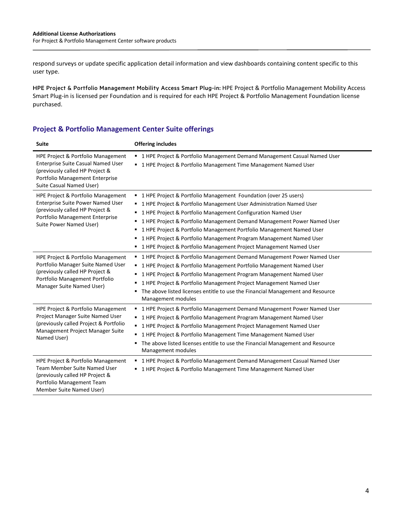respond surveys or update specific application detail information and view dashboards containing content specific to this user type.

HPE Project & Portfolio Management Mobility Access Smart Plug-in: HPE Project & Portfolio Management Mobility Access Smart Plug-in is licensed per Foundation and is required for each HPE Project & Portfolio Management Foundation license purchased.

### **Project & Portfolio Management Center Suite offerings**

| <b>Suite</b>                                                                                                                                                               | <b>Offering includes</b>                                                                                                                                                                                                                                                                                                                                                                                                                                                                                 |
|----------------------------------------------------------------------------------------------------------------------------------------------------------------------------|----------------------------------------------------------------------------------------------------------------------------------------------------------------------------------------------------------------------------------------------------------------------------------------------------------------------------------------------------------------------------------------------------------------------------------------------------------------------------------------------------------|
| HPE Project & Portfolio Management<br>Enterprise Suite Casual Named User<br>(previously called HP Project &<br>Portfolio Management Enterprise<br>Suite Casual Named User) | ■ 1 HPE Project & Portfolio Management Demand Management Casual Named User<br>■ 1 HPE Project & Portfolio Management Time Management Named User                                                                                                                                                                                                                                                                                                                                                          |
| HPE Project & Portfolio Management<br>Enterprise Suite Power Named User<br>(previously called HP Project &<br>Portfolio Management Enterprise<br>Suite Power Named User)   | ■ 1 HPE Project & Portfolio Management Foundation (over 25 users)<br>1 HPE Project & Portfolio Management User Administration Named User<br>1 HPE Project & Portfolio Management Configuration Named User<br>1 HPE Project & Portfolio Management Demand Management Power Named User<br>1 HPE Project & Portfolio Management Portfolio Management Named User<br>1 HPE Project & Portfolio Management Program Management Named User<br>1 HPE Project & Portfolio Management Project Management Named User |
| HPE Project & Portfolio Management<br>Portfolio Manager Suite Named User<br>(previously called HP Project &<br>Portfolio Management Portfolio<br>Manager Suite Named User) | ■ 1 HPE Project & Portfolio Management Demand Management Power Named User<br>1 HPE Project & Portfolio Management Portfolio Management Named User<br>1 HPE Project & Portfolio Management Program Management Named User<br>1 HPE Project & Portfolio Management Project Management Named User<br>The above listed licenses entitle to use the Financial Management and Resource<br>Management modules                                                                                                    |
| HPE Project & Portfolio Management<br>Project Manager Suite Named User<br>(previously called Project & Portfolio<br>Management Project Manager Suite<br>Named User)        | " 1 HPE Project & Portfolio Management Demand Management Power Named User<br>■ 1 HPE Project & Portfolio Management Program Management Named User<br>1 HPE Project & Portfolio Management Project Management Named User<br>1 HPE Project & Portfolio Management Time Management Named User<br>The above listed licenses entitle to use the Financial Management and Resource<br>٠<br>Management modules                                                                                                  |
| HPE Project & Portfolio Management<br>Team Member Suite Named User<br>(previously called HP Project &<br>Portfolio Management Team<br>Member Suite Named User)             | ■ 1 HPE Project & Portfolio Management Demand Management Casual Named User<br>1 HPE Project & Portfolio Management Time Management Named User                                                                                                                                                                                                                                                                                                                                                            |